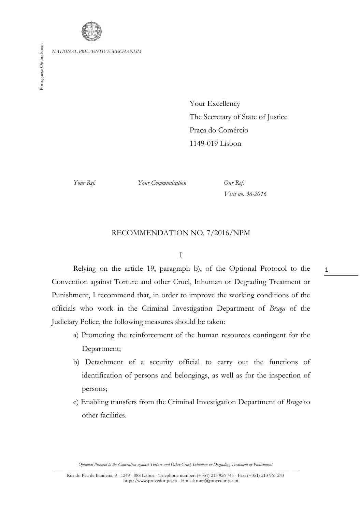

Your Excellency The Secretary of State of Justice Praça do Comércio 1149-019 Lisbon

*Your Ref. Your Communication Our Ref.*

*Visit no. 36-2016*

## RECOMMENDATION NO. 7/2016/NPM

I

Relying on the article 19, paragraph b), of the Optional Protocol to the Convention against Torture and other Cruel, Inhuman or Degrading Treatment or Punishment, I recommend that, in order to improve the working conditions of the officials who work in the Criminal Investigation Department of *Braga* of the Judiciary Police, the following measures should be taken:

- a) Promoting the reinforcement of the human resources contingent for the Department;
- b) Detachment of a security official to carry out the functions of identification of persons and belongings, as well as for the inspection of persons;
- c) Enabling transfers from the Criminal Investigation Department of *Braga* to other facilities.

*Optional Protocol to the Convention against Torture and Other Cruel, Inhuman or Degrading Treatment or Punishment* \_\_\_\_\_\_\_\_\_\_\_\_\_\_\_\_\_\_\_\_\_\_\_\_\_\_\_\_\_\_\_\_\_\_\_\_\_\_\_\_\_\_\_\_\_\_\_\_\_\_\_\_\_\_\_\_\_\_\_\_\_\_\_\_\_\_\_\_\_\_\_\_\_\_\_\_\_\_\_\_\_\_\_\_\_\_\_\_\_\_\_\_\_\_\_\_\_\_\_\_\_ 1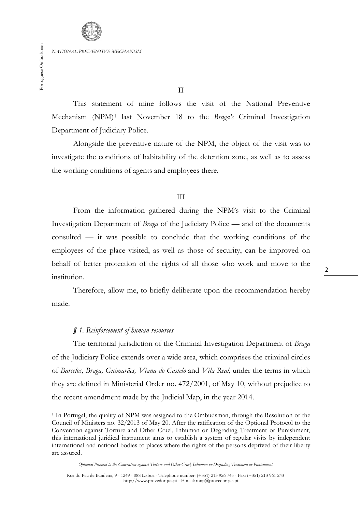**.** 

*NATIONAL PREVENTIVE MECHANISM*

This statement of mine follows the visit of the National Preventive Mechanism (NPM)[1](#page-1-0) last November 18 to the *Braga's* Criminal Investigation Department of Judiciary Police.

Alongside the preventive nature of the NPM, the object of the visit was to investigate the conditions of habitability of the detention zone, as well as to assess the working conditions of agents and employees there.

#### III

From the information gathered during the NPM's visit to the Criminal Investigation Department of *Braga* of the Judiciary Police — and of the documents consulted — it was possible to conclude that the working conditions of the employees of the place visited, as well as those of security, can be improved on behalf of better protection of the rights of all those who work and move to the institution.

Therefore, allow me, to briefly deliberate upon the recommendation hereby made.

### *§ 1. Reinforcement of human resources*

The territorial jurisdiction of the Criminal Investigation Department of *Braga*  of the Judiciary Police extends over a wide area, which comprises the criminal circles of *Barcelos, Braga, Guimarães, Viana do Castelo* and *Vila Real*, under the terms in which they are defined in Ministerial Order no. 472/2001, of May 10, without prejudice to the recent amendment made by the Judicial Map, in the year 2014.

<span id="page-1-0"></span><sup>&</sup>lt;sup>1</sup> In Portugal, the quality of NPM was assigned to the Ombudsman, through the Resolution of the Council of Ministers no. 32/2013 of May 20. After the ratification of the Optional Protocol to the Convention against Torture and Other Cruel, Inhuman or Degrading Treatment or Punishment, this international juridical instrument aims to establish a system of regular visits by independent international and national bodies to places where the rights of the persons deprived of their liberty are assured.

*Optional Protocol to the Convention against Torture and Other Cruel, Inhuman or Degrading Treatment or Punishment*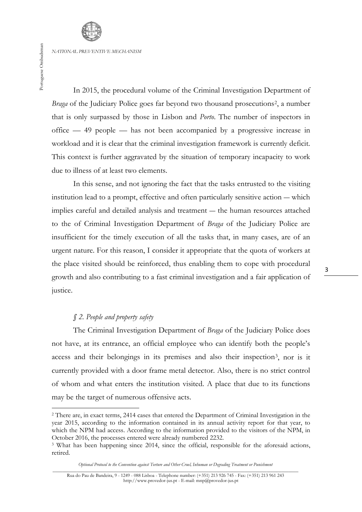Portuguese Ombudsman Portuguese Ombudsman

In 2015, the procedural volume of the Criminal Investigation Department of *Braga* of the Judiciary Police goes far beyond two thousand prosecutions<sup>2</sup>, a number that is only surpassed by those in Lisbon and *Porto*. The number of inspectors in office — 49 people — has not been accompanied by a progressive increase in workload and it is clear that the criminal investigation framework is currently deficit. This context is further aggravated by the situation of temporary incapacity to work due to illness of at least two elements.

In this sense, and not ignoring the fact that the tasks entrusted to the visiting institution lead to a prompt, effective and often particularly sensitive action ― which implies careful and detailed analysis and treatment ― the human resources attached to the of Criminal Investigation Department of *Braga* of the Judiciary Police are insufficient for the timely execution of all the tasks that, in many cases, are of an urgent nature. For this reason, I consider it appropriate that the quota of workers at the place visited should be reinforced, thus enabling them to cope with procedural growth and also contributing to a fast criminal investigation and a fair application of justice.

## *§ 2. People and property safety*

**.** 

The Criminal Investigation Department of *Braga* of the Judiciary Police does not have, at its entrance, an official employee who can identify both the people's access and their belongings in its premises and also their inspection[3,](#page-2-1) nor is it currently provided with a door frame metal detector. Also, there is no strict control of whom and what enters the institution visited. A place that due to its functions may be the target of numerous offensive acts.

<span id="page-2-0"></span><sup>&</sup>lt;sup>2</sup> There are, in exact terms, 2414 cases that entered the Department of Criminal Investigation in the year 2015, according to the information contained in its annual activity report for that year, to which the NPM had access. According to the information provided to the visitors of the NPM, in October 2016, the processes entered were already numbered 2232.

<span id="page-2-1"></span><sup>&</sup>lt;sup>3</sup> What has been happening since 2014, since the official, responsible for the aforesaid actions, retired.

*Optional Protocol to the Convention against Torture and Other Cruel, Inhuman or Degrading Treatment or Punishment* \_\_\_\_\_\_\_\_\_\_\_\_\_\_\_\_\_\_\_\_\_\_\_\_\_\_\_\_\_\_\_\_\_\_\_\_\_\_\_\_\_\_\_\_\_\_\_\_\_\_\_\_\_\_\_\_\_\_\_\_\_\_\_\_\_\_\_\_\_\_\_\_\_\_\_\_\_\_\_\_\_\_\_\_\_\_\_\_\_\_\_\_\_\_\_\_\_\_\_\_\_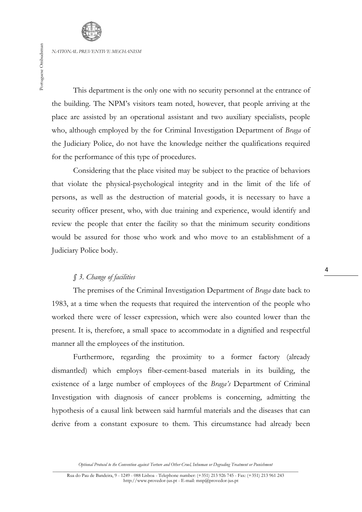Portuguese Ombudsman Portuguese Ombudsman

This department is the only one with no security personnel at the entrance of the building. The NPM's visitors team noted, however, that people arriving at the place are assisted by an operational assistant and two auxiliary specialists, people who, although employed by the for Criminal Investigation Department of *Braga* of the Judiciary Police, do not have the knowledge neither the qualifications required for the performance of this type of procedures.

Considering that the place visited may be subject to the practice of behaviors that violate the physical-psychological integrity and in the limit of the life of persons, as well as the destruction of material goods, it is necessary to have a security officer present, who, with due training and experience, would identify and review the people that enter the facility so that the minimum security conditions would be assured for those who work and who move to an establishment of a Judiciary Police body.

# *§ 3. Change of facilities*

The premises of the Criminal Investigation Department of *Braga* date back to 1983, at a time when the requests that required the intervention of the people who worked there were of lesser expression, which were also counted lower than the present. It is, therefore, a small space to accommodate in a dignified and respectful manner all the employees of the institution.

Furthermore, regarding the proximity to a former factory (already dismantled) which employs fiber-cement-based materials in its building, the existence of a large number of employees of the *Braga's* Department of Criminal Investigation with diagnosis of cancer problems is concerning, admitting the hypothesis of a causal link between said harmful materials and the diseases that can derive from a constant exposure to them. This circumstance had already been

*Optional Protocol to the Convention against Torture and Other Cruel, Inhuman or Degrading Treatment or Punishment*